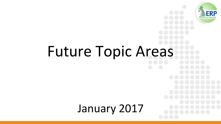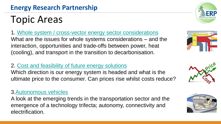### Topic Areas

1. [Whole system / cross-vector energy sector considerations](http://erpuk.org/whole-system-cross-vector-energy-sector-considerations/) What are the issues for whole systems considerations – and the interaction, opportunities and trade-offs between power, heat (cooling), and transport in the transition to decarbonisation.

#### 2. [Cost and feasibility of future energy solutions](http://erpuk.org/cost-feasibility-future-energy-solutions/)

Which direction is our energy system is headed and what is the ultimate price to the consumer. Can prices rise whilst costs reduce?

#### 3[.Autonomous vehicles](http://erpuk.org/autonomous-vehicles-pace-adoption-transition-effect-energy-sector/)

A look at the emerging trends in the transportation sector and the emergence of a technology trifecta; autonomy, connectivity and electrification.







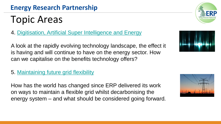# Topic Areas

4. [Digitisation, Artificial Super Intelligence and Energy](http://erpuk.org/digitisation-artificial-energy/)

A look at the rapidly evolving technology landscape, the effect it is having and will continue to have on the energy sector. How can we capitalise on the benefits technology offers?

5. [Maintaining future grid flexibility](http://erpuk.org/maintaining-future-grid-flexibility/)

How has the world has changed since ERP delivered its work on ways to maintain a flexible grid whilst decarbonising the energy system – and what should be considered going forward.





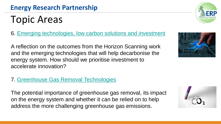### Topic Areas

6. [Emerging technologies, low carbon solutions and investment](http://erpuk.org/emerging-technologies-low-carbon-solutions-recommendations-investment/)

A reflection on the outcomes from the Horizon Scanning work and the emerging technologies that will help decarbonise the energy system. How should we prioritise investment to accelerate innovation?

#### 7. [Greenhouse Gas Removal Technologies](http://erpuk.org/greenhouse-gas-removal-technologies/)

The potential importance of greenhouse gas removal, its impact on the energy system and whether it can be relied on to help address the more challenging greenhouse gas emissions.





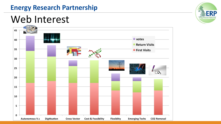#### **Energy Research Partnership**

### Web Interest



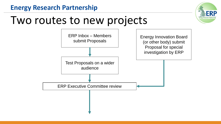

# Two routes to new projects